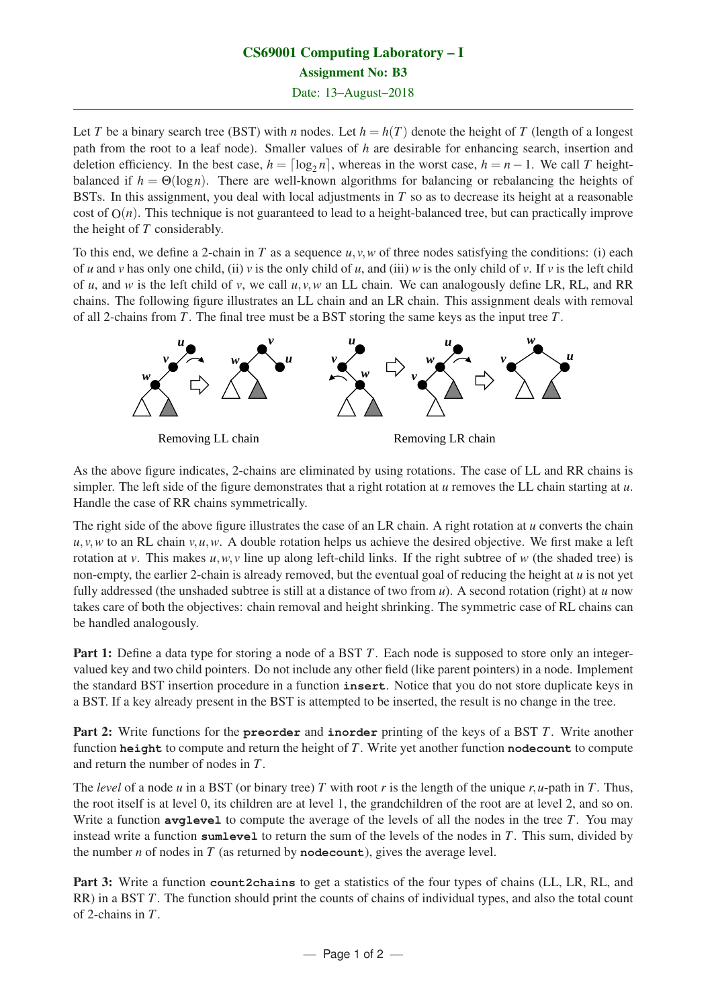## CS69001 Computing Laboratory – I Assignment No: B3 Date: 13–August–2018

Let *T* be a binary search tree (BST) with *n* nodes. Let  $h = h(T)$  denote the height of *T* (length of a longest path from the root to a leaf node). Smaller values of *h* are desirable for enhancing search, insertion and deletion efficiency. In the best case,  $h = \lceil \log_2 n \rceil$ , whereas in the worst case,  $h = n - 1$ . We call *T* heightbalanced if  $h = \Theta(\log n)$ . There are well-known algorithms for balancing or rebalancing the heights of BSTs. In this assignment, you deal with local adjustments in *T* so as to decrease its height at a reasonable cost of  $O(n)$ . This technique is not guaranteed to lead to a height-balanced tree, but can practically improve the height of *T* considerably.

To this end, we define a 2-chain in *T* as a sequence *u*, *v*,*w* of three nodes satisfying the conditions: (i) each of *u* and *v* has only one child, (ii) *v* is the only child of *u*, and (iii) *w* is the only child of *v*. If *v* is the left child of *u*, and *w* is the left child of *v*, we call *u*, *v*,*w* an LL chain. We can analogously define LR, RL, and RR chains. The following figure illustrates an LL chain and an LR chain. This assignment deals with removal of all 2-chains from *T*. The final tree must be a BST storing the same keys as the input tree *T*.



Removing LL chain Removing LR chain

As the above figure indicates, 2-chains are eliminated by using rotations. The case of LL and RR chains is simpler. The left side of the figure demonstrates that a right rotation at *u* removes the LL chain starting at *u*. Handle the case of RR chains symmetrically.

The right side of the above figure illustrates the case of an LR chain. A right rotation at *u* converts the chain  $u, v, w$  to an RL chain  $v, u, w$ . A double rotation helps us achieve the desired objective. We first make a left rotation at *v*. This makes  $u, w, v$  line up along left-child links. If the right subtree of *w* (the shaded tree) is non-empty, the earlier 2-chain is already removed, but the eventual goal of reducing the height at *u* is not yet fully addressed (the unshaded subtree is still at a distance of two from *u*). A second rotation (right) at *u* now takes care of both the objectives: chain removal and height shrinking. The symmetric case of RL chains can be handled analogously.

Part 1: Define a data type for storing a node of a BST *T*. Each node is supposed to store only an integervalued key and two child pointers. Do not include any other field (like parent pointers) in a node. Implement the standard BST insertion procedure in a function **insert**. Notice that you do not store duplicate keys in a BST. If a key already present in the BST is attempted to be inserted, the result is no change in the tree.

Part 2: Write functions for the **preorder** and **inorder** printing of the keys of a BST *T*. Write another function **height** to compute and return the height of *T*. Write yet another function **nodecount** to compute and return the number of nodes in *T*.

The *level* of a node *u* in a BST (or binary tree) *T* with root *r* is the length of the unique *r*,*u*-path in *T*. Thus, the root itself is at level 0, its children are at level 1, the grandchildren of the root are at level 2, and so on. Write a function **avglevel** to compute the average of the levels of all the nodes in the tree *T*. You may instead write a function **sumlevel** to return the sum of the levels of the nodes in *T*. This sum, divided by the number *n* of nodes in *T* (as returned by **nodecount**), gives the average level.

Part 3: Write a function **count2chains** to get a statistics of the four types of chains (LL, LR, RL, and RR) in a BST *T*. The function should print the counts of chains of individual types, and also the total count of 2-chains in *T*.